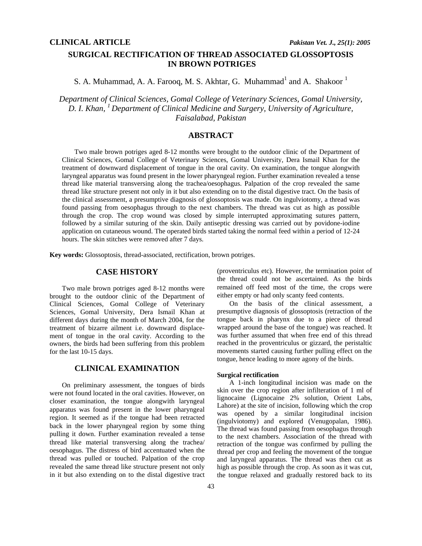# **SURGICAL RECTIFICATION OF THREAD ASSOCIATED GLOSSOPTOSIS IN BROWN POTRIGES**

S. A. Muhammad, A. A. Farooq, M. S. Akhtar, G. Muhammad<sup>1</sup> and A. Shakoor<sup>1</sup>

*Department of Clinical Sciences, Gomal College of Veterinary Sciences, Gomal University, D. I. Khan, 1 Department of Clinical Medicine and Surgery, University of Agriculture, Faisalabad, Pakistan* 

# **ABSTRACT**

 Two male brown potriges aged 8-12 months were brought to the outdoor clinic of the Department of Clinical Sciences, Gomal College of Veterinary Sciences, Gomal University, Dera Ismail Khan for the treatment of downward displacement of tongue in the oral cavity. On examination, the tongue alongwith laryngeal apparatus was found present in the lower pharyngeal region. Further examination revealed a tense thread like material transversing along the trachea/oesophagus. Palpation of the crop revealed the same thread like structure present not only in it but also extending on to the distal digestive tract. On the basis of the clinical assessment, a presumptive diagnosis of glossoptosis was made. On ingulviotomy, a thread was found passing from oesophagus through to the next chambers. The thread was cut as high as possible through the crop. The crop wound was closed by simple interrupted approximating sutures pattern, followed by a similar suturing of the skin. Daily antiseptic dressing was carried out by povidone-iodine application on cutaneous wound. The operated birds started taking the normal feed within a period of 12-24 hours. The skin stitches were removed after 7 days.

**Key words:** Glossoptosis, thread-associated, rectification, brown potriges.

### **CASE HISTORY**

Two male brown potriges aged 8-12 months were brought to the outdoor clinic of the Department of Clinical Sciences, Gomal College of Veterinary Sciences, Gomal University, Dera Ismail Khan at different days during the month of March 2004, for the treatment of bizarre ailment i.e. downward displacement of tongue in the oral cavity. According to the owners, the birds had been suffering from this problem for the last 10-15 days.

## **CLINICAL EXAMINATION**

 On preliminary assessment, the tongues of birds were not found located in the oral cavities. However, on closer examination, the tongue alongwith laryngeal apparatus was found present in the lower pharyngeal region. It seemed as if the tongue had been retracted back in the lower pharyngeal region by some thing pulling it down. Further examination revealed a tense thread like material transversing along the trachea/ oesophagus. The distress of bird accentuated when the thread was pulled or touched. Palpation of the crop revealed the same thread like structure present not only in it but also extending on to the distal digestive tract

(proventriculus etc). However, the termination point of the thread could not be ascertained. As the birds remained off feed most of the time, the crops were either empty or had only scanty feed contents.

 On the basis of the clinical assessment, a presumptive diagnosis of glossoptosis (retraction of the tongue back in pharynx due to a piece of thread wrapped around the base of the tongue) was reached. It was further assumed that when free end of this thread reached in the proventriculus or gizzard, the peristaltic movements started causing further pulling effect on the tongue, hence leading to more agony of the birds.

#### **Surgical rectification**

 A 1-inch longitudinal incision was made on the skin over the crop region after infilteration of 1 ml of lignocaine (Lignocaine 2% solution, Orient Labs, Lahore) at the site of incision, following which the crop was opened by a similar longitudinal incision (ingulviotomy) and explored (Venugopalan, 1986). The thread was found passing from oesophagus through to the next chambers. Association of the thread with retraction of the tongue was confirmed by pulling the thread per crop and feeling the movement of the tongue and laryngeal apparatus. The thread was then cut as high as possible through the crop. As soon as it was cut, the tongue relaxed and gradually restored back to its